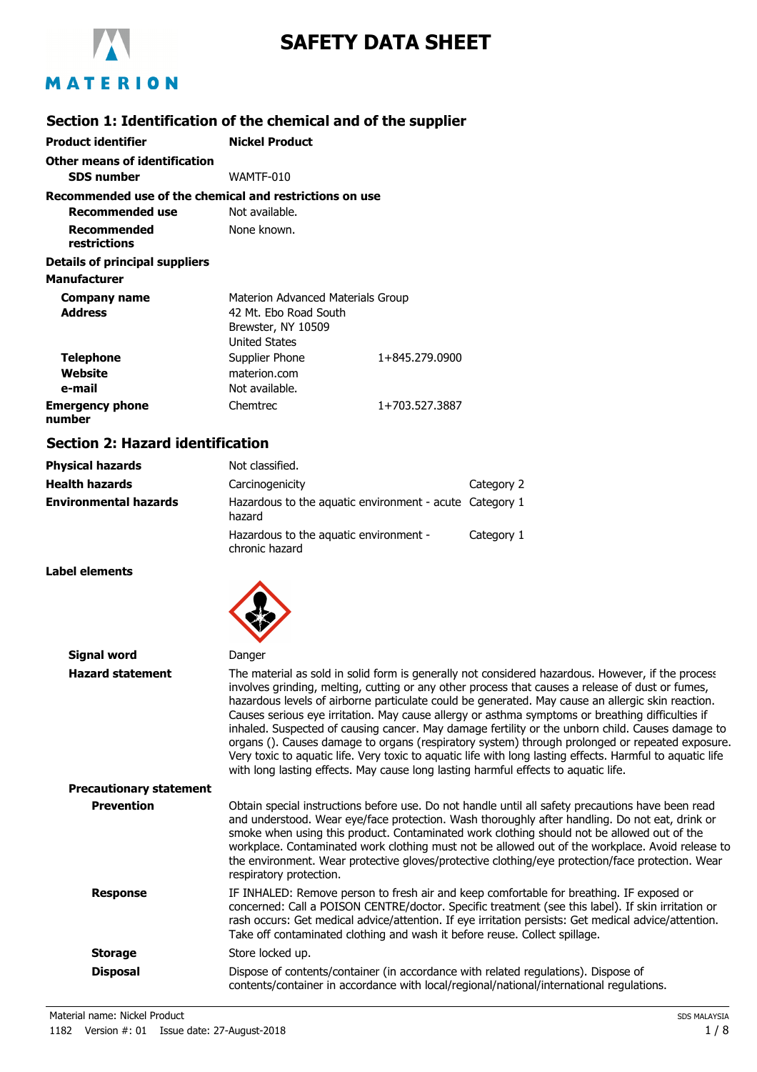

# **SAFETY DATA SHEET**

### **Section 1: Identification of the chemical and of the supplier**

| <b>Product identifier</b>                               | <b>Nickel Product</b>             |                |
|---------------------------------------------------------|-----------------------------------|----------------|
| Other means of identification                           |                                   |                |
| <b>SDS</b> number                                       | WAMTF-010                         |                |
| Recommended use of the chemical and restrictions on use |                                   |                |
| Recommended use                                         | Not available.                    |                |
| Recommended<br>restrictions                             | None known.                       |                |
| Details of principal suppliers                          |                                   |                |
| <b>Manufacturer</b>                                     |                                   |                |
| Company name                                            | Materion Advanced Materials Group |                |
| <b>Address</b>                                          | 42 Mt. Ebo Road South             |                |
|                                                         | Brewster, NY 10509                |                |
|                                                         | <b>United States</b>              |                |
| <b>Telephone</b>                                        | Supplier Phone                    | 1+845.279.0900 |
| Website                                                 | materion.com                      |                |
| e-mail                                                  | Not available.                    |                |
| <b>Emergency phone</b><br>number                        | Chemtrec                          | 1+703.527.3887 |

### **Section 2: Hazard identification**

| <b>Physical hazards</b>      | Not classified.                                                   |            |
|------------------------------|-------------------------------------------------------------------|------------|
| <b>Health hazards</b>        | Carcinogenicity                                                   | Category 2 |
| <b>Environmental hazards</b> | Hazardous to the aquatic environment - acute Category 1<br>hazard |            |
|                              | Hazardous to the aquatic environment -<br>chronic hazard          | Category 1 |

**Label elements**



| Signal word                    | Danger                                                                                                                                                                                                                                                                                                                                                                                                                                                                                                                                                                                                                                                                                                                                                                                                                   |
|--------------------------------|--------------------------------------------------------------------------------------------------------------------------------------------------------------------------------------------------------------------------------------------------------------------------------------------------------------------------------------------------------------------------------------------------------------------------------------------------------------------------------------------------------------------------------------------------------------------------------------------------------------------------------------------------------------------------------------------------------------------------------------------------------------------------------------------------------------------------|
| <b>Hazard statement</b>        | The material as sold in solid form is generally not considered hazardous. However, if the process<br>involves grinding, melting, cutting or any other process that causes a release of dust or fumes,<br>hazardous levels of airborne particulate could be generated. May cause an allergic skin reaction.<br>Causes serious eye irritation. May cause allergy or asthma symptoms or breathing difficulties if<br>inhaled. Suspected of causing cancer. May damage fertility or the unborn child. Causes damage to<br>organs (). Causes damage to organs (respiratory system) through prolonged or repeated exposure.<br>Very toxic to aquatic life. Very toxic to aquatic life with long lasting effects. Harmful to aquatic life<br>with long lasting effects. May cause long lasting harmful effects to aquatic life. |
| <b>Precautionary statement</b> |                                                                                                                                                                                                                                                                                                                                                                                                                                                                                                                                                                                                                                                                                                                                                                                                                          |
| <b>Prevention</b>              | Obtain special instructions before use. Do not handle until all safety precautions have been read<br>and understood. Wear eye/face protection. Wash thoroughly after handling. Do not eat, drink or<br>smoke when using this product. Contaminated work clothing should not be allowed out of the<br>workplace. Contaminated work clothing must not be allowed out of the workplace. Avoid release to<br>the environment. Wear protective gloves/protective clothing/eye protection/face protection. Wear<br>respiratory protection.                                                                                                                                                                                                                                                                                     |
| <b>Response</b>                | IF INHALED: Remove person to fresh air and keep comfortable for breathing. IF exposed or<br>concerned: Call a POISON CENTRE/doctor. Specific treatment (see this label). If skin irritation or<br>rash occurs: Get medical advice/attention. If eye irritation persists: Get medical advice/attention.<br>Take off contaminated clothing and wash it before reuse. Collect spillage.                                                                                                                                                                                                                                                                                                                                                                                                                                     |
| <b>Storage</b>                 | Store locked up.                                                                                                                                                                                                                                                                                                                                                                                                                                                                                                                                                                                                                                                                                                                                                                                                         |
| <b>Disposal</b>                | Dispose of contents/container (in accordance with related regulations). Dispose of<br>contents/container in accordance with local/regional/national/international regulations.                                                                                                                                                                                                                                                                                                                                                                                                                                                                                                                                                                                                                                           |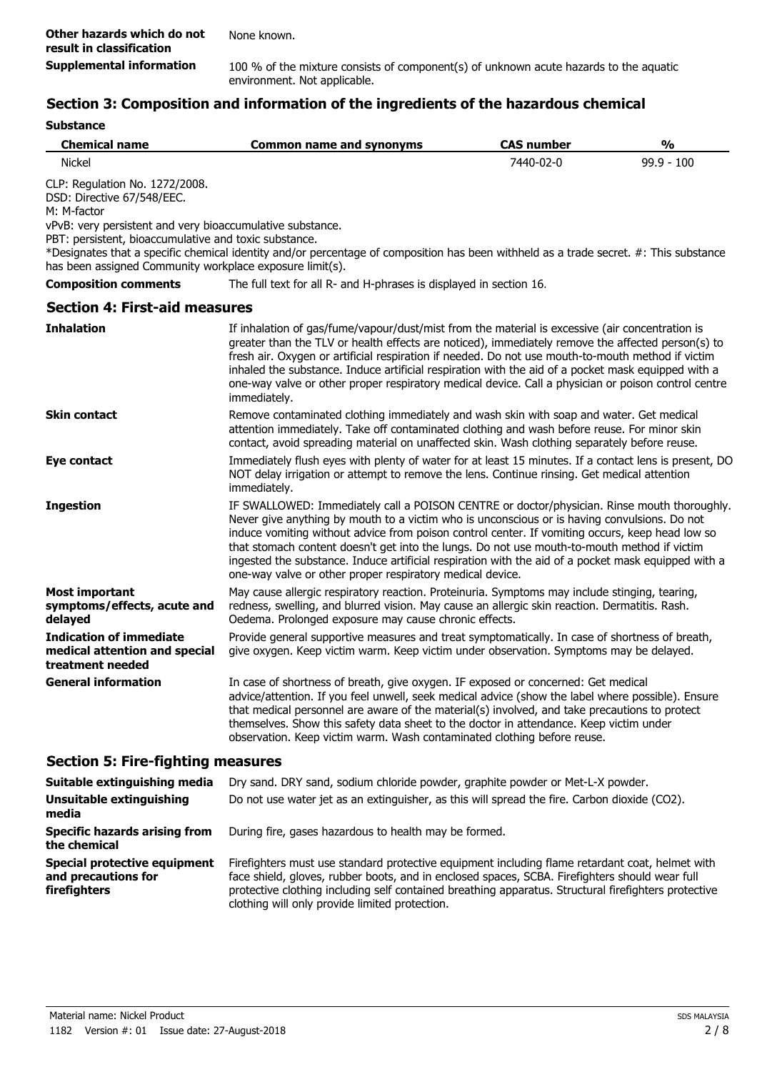# **Section 3: Composition and information of the ingredients of the hazardous chemical**

| <b>Chemical name</b>                                                                                                                                                                                                                                          | <b>Common name and synonyms</b>                                                                                                                                                                                                                                                                                                                                                                                                                                                                                                                                   | <b>CAS number</b> | $\frac{0}{0}$ |
|---------------------------------------------------------------------------------------------------------------------------------------------------------------------------------------------------------------------------------------------------------------|-------------------------------------------------------------------------------------------------------------------------------------------------------------------------------------------------------------------------------------------------------------------------------------------------------------------------------------------------------------------------------------------------------------------------------------------------------------------------------------------------------------------------------------------------------------------|-------------------|---------------|
| <b>Nickel</b>                                                                                                                                                                                                                                                 |                                                                                                                                                                                                                                                                                                                                                                                                                                                                                                                                                                   | 7440-02-0         | $99.9 - 100$  |
| CLP: Regulation No. 1272/2008.<br>DSD: Directive 67/548/EEC.<br>M: M-factor<br>vPvB: very persistent and very bioaccumulative substance.<br>PBT: persistent, bioaccumulative and toxic substance.<br>has been assigned Community workplace exposure limit(s). | *Designates that a specific chemical identity and/or percentage of composition has been withheld as a trade secret. #: This substance                                                                                                                                                                                                                                                                                                                                                                                                                             |                   |               |
| <b>Composition comments</b>                                                                                                                                                                                                                                   | The full text for all R- and H-phrases is displayed in section 16.                                                                                                                                                                                                                                                                                                                                                                                                                                                                                                |                   |               |
| <b>Section 4: First-aid measures</b>                                                                                                                                                                                                                          |                                                                                                                                                                                                                                                                                                                                                                                                                                                                                                                                                                   |                   |               |
| <b>Inhalation</b>                                                                                                                                                                                                                                             | If inhalation of gas/fume/vapour/dust/mist from the material is excessive (air concentration is<br>greater than the TLV or health effects are noticed), immediately remove the affected person(s) to<br>fresh air. Oxygen or artificial respiration if needed. Do not use mouth-to-mouth method if victim<br>inhaled the substance. Induce artificial respiration with the aid of a pocket mask equipped with a<br>one-way valve or other proper respiratory medical device. Call a physician or poison control centre<br>immediately.                            |                   |               |
| <b>Skin contact</b>                                                                                                                                                                                                                                           | Remove contaminated clothing immediately and wash skin with soap and water. Get medical<br>attention immediately. Take off contaminated clothing and wash before reuse. For minor skin<br>contact, avoid spreading material on unaffected skin. Wash clothing separately before reuse.                                                                                                                                                                                                                                                                            |                   |               |
| Eye contact                                                                                                                                                                                                                                                   | Immediately flush eyes with plenty of water for at least 15 minutes. If a contact lens is present, DO<br>NOT delay irrigation or attempt to remove the lens. Continue rinsing. Get medical attention<br>immediately.                                                                                                                                                                                                                                                                                                                                              |                   |               |
| <b>Ingestion</b>                                                                                                                                                                                                                                              | IF SWALLOWED: Immediately call a POISON CENTRE or doctor/physician. Rinse mouth thoroughly.<br>Never give anything by mouth to a victim who is unconscious or is having convulsions. Do not<br>induce vomiting without advice from poison control center. If vomiting occurs, keep head low so<br>that stomach content doesn't get into the lungs. Do not use mouth-to-mouth method if victim<br>ingested the substance. Induce artificial respiration with the aid of a pocket mask equipped with a<br>one-way valve or other proper respiratory medical device. |                   |               |
| <b>Most important</b><br>symptoms/effects, acute and<br>delayed                                                                                                                                                                                               | May cause allergic respiratory reaction. Proteinuria. Symptoms may include stinging, tearing,<br>redness, swelling, and blurred vision. May cause an allergic skin reaction. Dermatitis. Rash.<br>Oedema. Prolonged exposure may cause chronic effects.                                                                                                                                                                                                                                                                                                           |                   |               |
| <b>Indication of immediate</b><br>medical attention and special<br>treatment needed                                                                                                                                                                           | Provide general supportive measures and treat symptomatically. In case of shortness of breath,<br>give oxygen. Keep victim warm. Keep victim under observation. Symptoms may be delayed.                                                                                                                                                                                                                                                                                                                                                                          |                   |               |
| <b>General information</b>                                                                                                                                                                                                                                    | In case of shortness of breath, give oxygen. IF exposed or concerned: Get medical<br>advice/attention. If you feel unwell, seek medical advice (show the label where possible). Ensure<br>that medical personnel are aware of the material(s) involved, and take precautions to protect<br>themselves. Show this safety data sheet to the doctor in attendance. Keep victim under<br>observation. Keep victim warm. Wash contaminated clothing before reuse.                                                                                                      |                   |               |
| <b>Section 5: Fire-fighting measures</b>                                                                                                                                                                                                                      |                                                                                                                                                                                                                                                                                                                                                                                                                                                                                                                                                                   |                   |               |
| Suitable extinguishing media                                                                                                                                                                                                                                  | Dry sand. DRY sand, sodium chloride powder, graphite powder or Met-L-X powder.                                                                                                                                                                                                                                                                                                                                                                                                                                                                                    |                   |               |
| <b>Unsuitable extinguishing</b><br>media                                                                                                                                                                                                                      | Do not use water jet as an extinguisher, as this will spread the fire. Carbon dioxide (CO2).                                                                                                                                                                                                                                                                                                                                                                                                                                                                      |                   |               |

**Specific hazards arising from** During fire, gases hazardous to health may be formed.

Firefighters must use standard protective equipment including flame retardant coat, helmet with face shield, gloves, rubber boots, and in enclosed spaces, SCBA. Firefighters should wear full protective clothing including self contained breathing apparatus. Structural firefighters protective clothing will only provide limited protection. **Special protective equipment and precautions for firefighters**

**the chemical**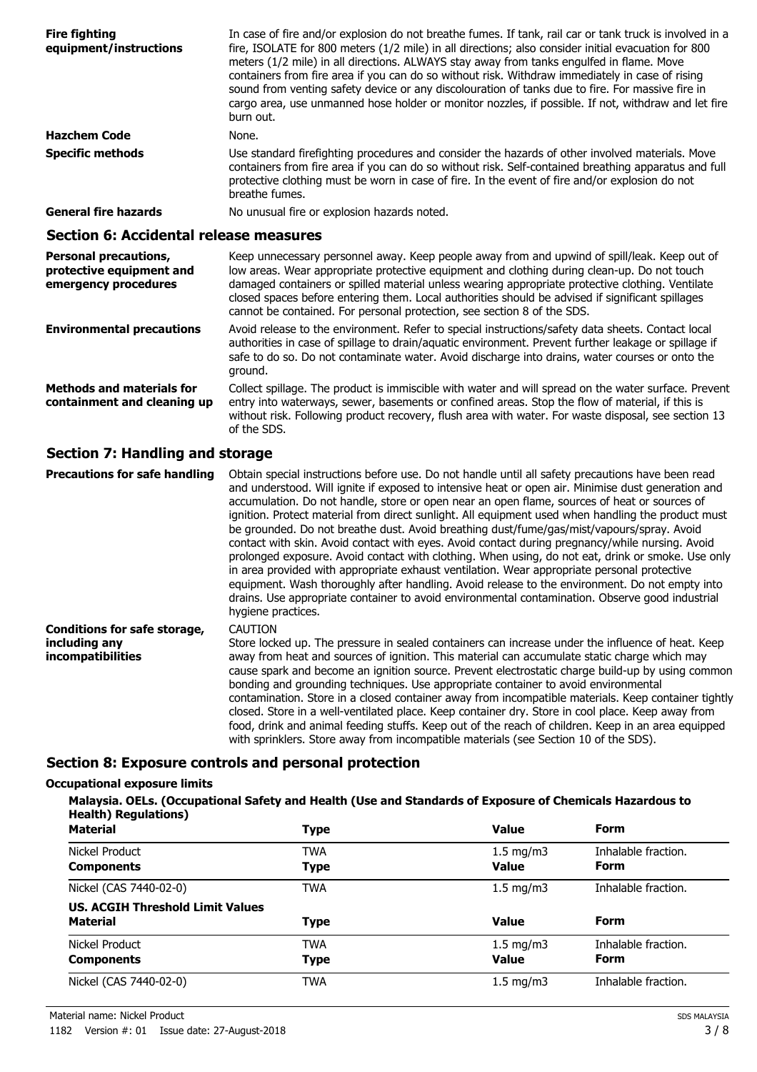| <b>Fire fighting</b><br>equipment/instructions                                   | In case of fire and/or explosion do not breathe fumes. If tank, rail car or tank truck is involved in a<br>fire, ISOLATE for 800 meters (1/2 mile) in all directions; also consider initial evacuation for 800<br>meters (1/2 mile) in all directions. ALWAYS stay away from tanks engulfed in flame. Move<br>containers from fire area if you can do so without risk. Withdraw immediately in case of rising<br>sound from venting safety device or any discolouration of tanks due to fire. For massive fire in<br>cargo area, use unmanned hose holder or monitor nozzles, if possible. If not, withdraw and let fire<br>burn out. |
|----------------------------------------------------------------------------------|---------------------------------------------------------------------------------------------------------------------------------------------------------------------------------------------------------------------------------------------------------------------------------------------------------------------------------------------------------------------------------------------------------------------------------------------------------------------------------------------------------------------------------------------------------------------------------------------------------------------------------------|
| <b>Hazchem Code</b>                                                              | None.                                                                                                                                                                                                                                                                                                                                                                                                                                                                                                                                                                                                                                 |
| <b>Specific methods</b>                                                          | Use standard firefighting procedures and consider the hazards of other involved materials. Move<br>containers from fire area if you can do so without risk. Self-contained breathing apparatus and full<br>protective clothing must be worn in case of fire. In the event of fire and/or explosion do not<br>breathe fumes.                                                                                                                                                                                                                                                                                                           |
| <b>General fire hazards</b>                                                      | No unusual fire or explosion hazards noted.                                                                                                                                                                                                                                                                                                                                                                                                                                                                                                                                                                                           |
| <b>Section 6: Accidental release measures</b>                                    |                                                                                                                                                                                                                                                                                                                                                                                                                                                                                                                                                                                                                                       |
| <b>Personal precautions,</b><br>protective equipment and<br>emergency procedures | Keep unnecessary personnel away. Keep people away from and upwind of spill/leak. Keep out of<br>low areas. Wear appropriate protective equipment and clothing during clean-up. Do not touch<br>damaged containers or spilled material unless wearing appropriate protective clothing. Ventilate<br>closed spaces before entering them. Local authorities should be advised if significant spillages<br>cannot be contained. For personal protection, see section 8 of the SDS.                                                                                                                                                        |
| <b>Environmental precautions</b>                                                 | Avoid release to the environment. Refer to special instructions/safety data sheets. Contact local<br>authorities in case of spillage to drain/aquatic environment. Prevent further leakage or spillage if<br>safe to do so. Do not contaminate water. Avoid discharge into drains, water courses or onto the<br>ground.                                                                                                                                                                                                                                                                                                               |
| <b>Methods and materials for</b><br>containment and cleaning up                  | Collect spillage. The product is immiscible with water and will spread on the water surface. Prevent<br>entry into waterways, sewer, basements or confined areas. Stop the flow of material, if this is<br>without risk. Following product recovery, flush area with water. For waste disposal, see section 13<br>of the SDS.                                                                                                                                                                                                                                                                                                         |

### **Section 7: Handling and storage**

| <b>Precautions for safe handling</b>                                             | Obtain special instructions before use. Do not handle until all safety precautions have been read<br>and understood. Will ignite if exposed to intensive heat or open air. Minimise dust generation and<br>accumulation. Do not handle, store or open near an open flame, sources of heat or sources of<br>ignition. Protect material from direct sunlight. All equipment used when handling the product must<br>be grounded. Do not breathe dust. Avoid breathing dust/fume/gas/mist/vapours/spray. Avoid<br>contact with skin. Avoid contact with eyes. Avoid contact during pregnancy/while nursing. Avoid<br>prolonged exposure. Avoid contact with clothing. When using, do not eat, drink or smoke. Use only<br>in area provided with appropriate exhaust ventilation. Wear appropriate personal protective<br>equipment. Wash thoroughly after handling. Avoid release to the environment. Do not empty into<br>drains. Use appropriate container to avoid environmental contamination. Observe good industrial<br>hygiene practices. |
|----------------------------------------------------------------------------------|----------------------------------------------------------------------------------------------------------------------------------------------------------------------------------------------------------------------------------------------------------------------------------------------------------------------------------------------------------------------------------------------------------------------------------------------------------------------------------------------------------------------------------------------------------------------------------------------------------------------------------------------------------------------------------------------------------------------------------------------------------------------------------------------------------------------------------------------------------------------------------------------------------------------------------------------------------------------------------------------------------------------------------------------|
| <b>Conditions for safe storage,</b><br>including any<br><i>incompatibilities</i> | <b>CAUTION</b><br>Store locked up. The pressure in sealed containers can increase under the influence of heat. Keep<br>away from heat and sources of ignition. This material can accumulate static charge which may<br>cause spark and become an ignition source. Prevent electrostatic charge build-up by using common<br>bonding and grounding techniques. Use appropriate container to avoid environmental<br>contamination. Store in a closed container away from incompatible materials. Keep container tightly<br>closed. Store in a well-ventilated place. Keep container dry. Store in cool place. Keep away from<br>food, drink and animal feeding stuffs. Keep out of the reach of children. Keep in an area equipped<br>with sprinklers. Store away from incompatible materials (see Section 10 of the SDS).                                                                                                                                                                                                                      |

### **Section 8: Exposure controls and personal protection**

#### **Occupational exposure limits**

**Malaysia. OELs. (Occupational Safety and Health (Use and Standards of Exposure of Chemicals Hazardous to Health) Regulations)**

| <b>Material</b>                                            | <b>Type</b>               | <b>Value</b>                       | <b>Form</b>                        |
|------------------------------------------------------------|---------------------------|------------------------------------|------------------------------------|
| Nickel Product<br><b>Components</b>                        | <b>TWA</b><br><b>Type</b> | $1.5 \text{ mg/m}$<br><b>Value</b> | Inhalable fraction.<br><b>Form</b> |
| Nickel (CAS 7440-02-0)                                     | <b>TWA</b>                | $1.5$ mg/m $3$                     | Inhalable fraction.                |
| <b>US. ACGIH Threshold Limit Values</b><br><b>Material</b> | <b>Type</b>               | <b>Value</b>                       | <b>Form</b>                        |
| Nickel Product<br><b>Components</b>                        | <b>TWA</b><br><b>Type</b> | $1.5 \text{ mg/m}$<br><b>Value</b> | Inhalable fraction.<br><b>Form</b> |
| Nickel (CAS 7440-02-0)                                     | <b>TWA</b>                | $1.5 \text{ mg/m}$                 | Inhalable fraction.                |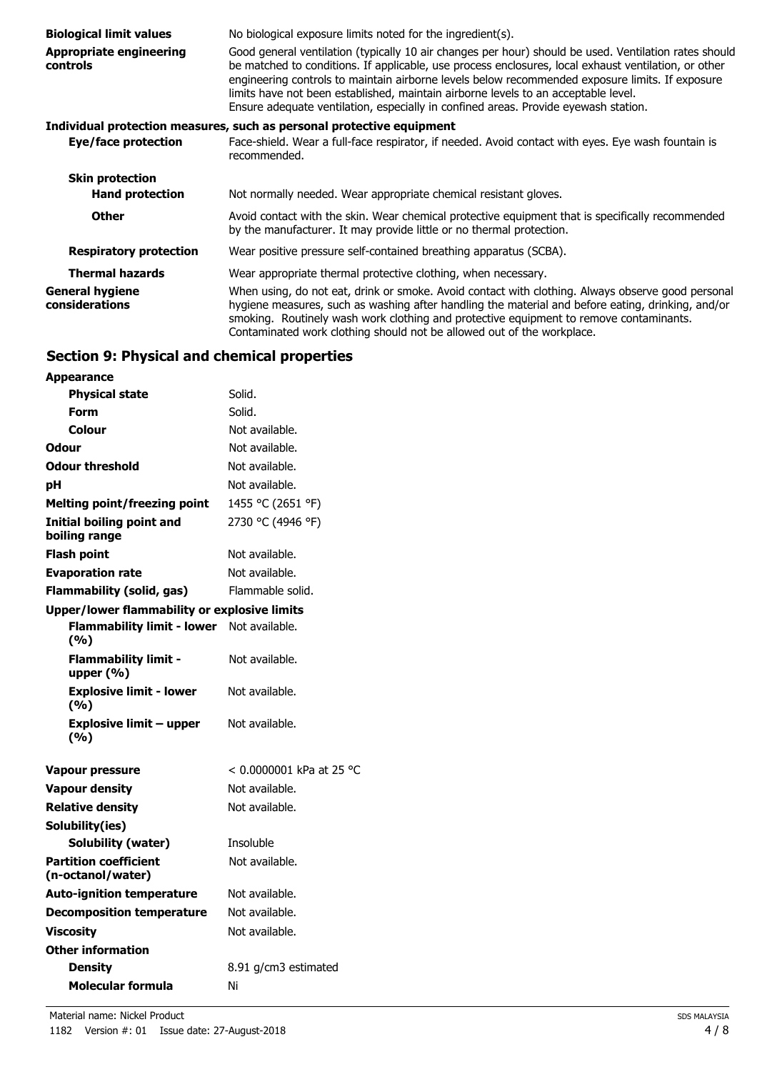| <b>Biological limit values</b>                    | No biological exposure limits noted for the ingredient(s).                                                                                                                                                                                                                                                                                                                                                                                                                                    |
|---------------------------------------------------|-----------------------------------------------------------------------------------------------------------------------------------------------------------------------------------------------------------------------------------------------------------------------------------------------------------------------------------------------------------------------------------------------------------------------------------------------------------------------------------------------|
| <b>Appropriate engineering</b><br><b>controls</b> | Good general ventilation (typically 10 air changes per hour) should be used. Ventilation rates should<br>be matched to conditions. If applicable, use process enclosures, local exhaust ventilation, or other<br>engineering controls to maintain airborne levels below recommended exposure limits. If exposure<br>limits have not been established, maintain airborne levels to an acceptable level.<br>Ensure adequate ventilation, especially in confined areas. Provide eyewash station. |
|                                                   | Individual protection measures, such as personal protective equipment                                                                                                                                                                                                                                                                                                                                                                                                                         |
| Eye/face protection                               | Face-shield. Wear a full-face respirator, if needed. Avoid contact with eyes. Eye wash fountain is<br>recommended.                                                                                                                                                                                                                                                                                                                                                                            |
| <b>Skin protection</b>                            |                                                                                                                                                                                                                                                                                                                                                                                                                                                                                               |
| <b>Hand protection</b>                            | Not normally needed. Wear appropriate chemical resistant gloves.                                                                                                                                                                                                                                                                                                                                                                                                                              |
| <b>Other</b>                                      | Avoid contact with the skin. Wear chemical protective equipment that is specifically recommended<br>by the manufacturer. It may provide little or no thermal protection.                                                                                                                                                                                                                                                                                                                      |
| <b>Respiratory protection</b>                     | Wear positive pressure self-contained breathing apparatus (SCBA).                                                                                                                                                                                                                                                                                                                                                                                                                             |
| <b>Thermal hazards</b>                            | Wear appropriate thermal protective clothing, when necessary.                                                                                                                                                                                                                                                                                                                                                                                                                                 |
| <b>General hygiene</b><br>considerations          | When using, do not eat, drink or smoke. Avoid contact with clothing. Always observe good personal<br>hygiene measures, such as washing after handling the material and before eating, drinking, and/or<br>smoking. Routinely wash work clothing and protective equipment to remove contaminants.<br>Contaminated work clothing should not be allowed out of the workplace.                                                                                                                    |

### **Section 9: Physical and chemical properties**

| <b>Appearance</b>                                   |                          |
|-----------------------------------------------------|--------------------------|
| <b>Physical state</b>                               | Solid.                   |
| Form                                                | Solid.                   |
| Colour                                              | Not available.           |
| Odour                                               | Not available.           |
| <b>Odour threshold</b>                              | Not available.           |
| рH                                                  | Not available.           |
| <b>Melting point/freezing point</b>                 | 1455 °C (2651 °F)        |
| Initial boiling point and<br>boiling range          | 2730 °C (4946 °F)        |
| <b>Flash point</b>                                  | Not available.           |
| <b>Evaporation rate</b>                             | Not available.           |
| <b>Flammability (solid, gas)</b>                    | Flammable solid.         |
| <b>Upper/lower flammability or explosive limits</b> |                          |
| <b>Flammability limit - lower</b><br>(%)            | Not available.           |
| <b>Flammability limit -</b><br>upper (%)            | Not available.           |
| <b>Explosive limit - lower</b><br>(%)               | Not available.           |
| <b>Explosive limit - upper</b><br>(%)               | Not available.           |
| Vapour pressure                                     | < 0.0000001 kPa at 25 °C |
| <b>Vapour density</b>                               | Not available.           |
| <b>Relative density</b>                             | Not available.           |
| Solubility(ies)                                     |                          |
| Solubility (water)                                  | Insoluble                |
| <b>Partition coefficient</b><br>(n-octanol/water)   | Not available.           |
| <b>Auto-ignition temperature</b>                    | Not available.           |
| <b>Decomposition temperature</b>                    | Not available.           |
| <b>Viscosity</b>                                    | Not available.           |
| <b>Other information</b>                            |                          |
| Density                                             | 8.91 g/cm3 estimated     |
| Molecular formula                                   | Ni                       |
|                                                     |                          |

Material name: Nickel Product 1182 Version #: 01 Issue date: 27-August-2018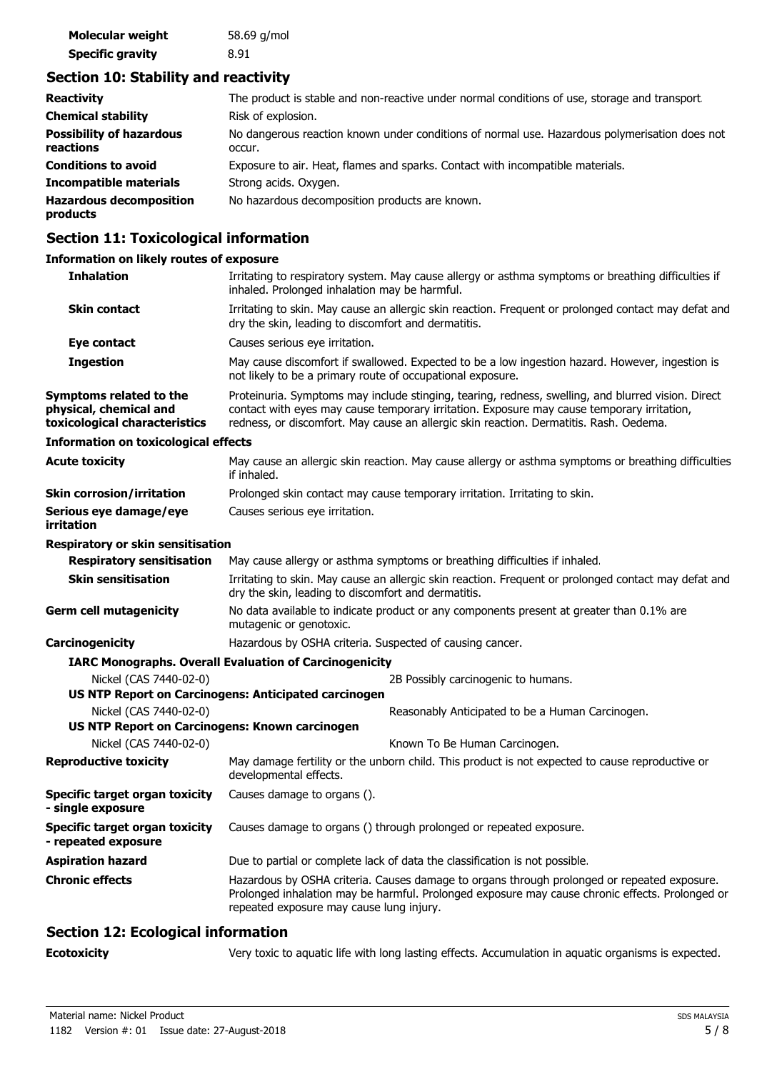| Molecular weight        | 58.69 g/mol |
|-------------------------|-------------|
| <b>Specific gravity</b> | 8.91        |

### **Section 10: Stability and reactivity**

| <b>Reactivity</b>                            | The product is stable and non-reactive under normal conditions of use, storage and transport.           |
|----------------------------------------------|---------------------------------------------------------------------------------------------------------|
| <b>Chemical stability</b>                    | Risk of explosion.                                                                                      |
| <b>Possibility of hazardous</b><br>reactions | No dangerous reaction known under conditions of normal use. Hazardous polymerisation does not<br>occur. |
| <b>Conditions to avoid</b>                   | Exposure to air. Heat, flames and sparks. Contact with incompatible materials.                          |
| <b>Incompatible materials</b>                | Strong acids. Oxygen.                                                                                   |
| <b>Hazardous decomposition</b><br>products   | No hazardous decomposition products are known.                                                          |

# **Section 11: Toxicological information**

#### **Information on likely routes of exposure**

| <b>Inhalation</b>                                                                  | Irritating to respiratory system. May cause allergy or asthma symptoms or breathing difficulties if<br>inhaled. Prolonged inhalation may be harmful.                                                                                                                                       |  |  |
|------------------------------------------------------------------------------------|--------------------------------------------------------------------------------------------------------------------------------------------------------------------------------------------------------------------------------------------------------------------------------------------|--|--|
| <b>Skin contact</b>                                                                | Irritating to skin. May cause an allergic skin reaction. Frequent or prolonged contact may defat and<br>dry the skin, leading to discomfort and dermatitis.                                                                                                                                |  |  |
| Eye contact                                                                        | Causes serious eye irritation.                                                                                                                                                                                                                                                             |  |  |
| <b>Ingestion</b>                                                                   | May cause discomfort if swallowed. Expected to be a low ingestion hazard. However, ingestion is<br>not likely to be a primary route of occupational exposure.                                                                                                                              |  |  |
| Symptoms related to the<br>physical, chemical and<br>toxicological characteristics | Proteinuria. Symptoms may include stinging, tearing, redness, swelling, and blurred vision. Direct<br>contact with eyes may cause temporary irritation. Exposure may cause temporary irritation,<br>redness, or discomfort. May cause an allergic skin reaction. Dermatitis. Rash. Oedema. |  |  |
| <b>Information on toxicological effects</b>                                        |                                                                                                                                                                                                                                                                                            |  |  |
| <b>Acute toxicity</b>                                                              | May cause an allergic skin reaction. May cause allergy or asthma symptoms or breathing difficulties<br>if inhaled.                                                                                                                                                                         |  |  |
| <b>Skin corrosion/irritation</b>                                                   | Prolonged skin contact may cause temporary irritation. Irritating to skin.                                                                                                                                                                                                                 |  |  |
| Serious eye damage/eye<br>irritation                                               | Causes serious eye irritation.                                                                                                                                                                                                                                                             |  |  |
| Respiratory or skin sensitisation                                                  |                                                                                                                                                                                                                                                                                            |  |  |
| <b>Respiratory sensitisation</b>                                                   | May cause allergy or asthma symptoms or breathing difficulties if inhaled.                                                                                                                                                                                                                 |  |  |
| <b>Skin sensitisation</b>                                                          | Irritating to skin. May cause an allergic skin reaction. Frequent or prolonged contact may defat and<br>dry the skin, leading to discomfort and dermatitis.                                                                                                                                |  |  |
| <b>Germ cell mutagenicity</b>                                                      | No data available to indicate product or any components present at greater than 0.1% are<br>mutagenic or genotoxic.                                                                                                                                                                        |  |  |
| Carcinogenicity                                                                    | Hazardous by OSHA criteria. Suspected of causing cancer.                                                                                                                                                                                                                                   |  |  |
|                                                                                    | <b>IARC Monographs. Overall Evaluation of Carcinogenicity</b>                                                                                                                                                                                                                              |  |  |
| Nickel (CAS 7440-02-0)                                                             | 2B Possibly carcinogenic to humans.                                                                                                                                                                                                                                                        |  |  |
|                                                                                    | <b>US NTP Report on Carcinogens: Anticipated carcinogen</b>                                                                                                                                                                                                                                |  |  |
| Nickel (CAS 7440-02-0)<br>US NTP Report on Carcinogens: Known carcinogen           | Reasonably Anticipated to be a Human Carcinogen.                                                                                                                                                                                                                                           |  |  |
| Nickel (CAS 7440-02-0)                                                             | Known To Be Human Carcinogen.                                                                                                                                                                                                                                                              |  |  |
| <b>Reproductive toxicity</b>                                                       | May damage fertility or the unborn child. This product is not expected to cause reproductive or<br>developmental effects.                                                                                                                                                                  |  |  |
| <b>Specific target organ toxicity</b><br>- single exposure                         | Causes damage to organs ().                                                                                                                                                                                                                                                                |  |  |
| <b>Specific target organ toxicity</b><br>- repeated exposure                       | Causes damage to organs () through prolonged or repeated exposure.                                                                                                                                                                                                                         |  |  |
| <b>Aspiration hazard</b>                                                           | Due to partial or complete lack of data the classification is not possible.                                                                                                                                                                                                                |  |  |
| <b>Chronic effects</b>                                                             | Hazardous by OSHA criteria. Causes damage to organs through prolonged or repeated exposure.<br>Prolonged inhalation may be harmful. Prolonged exposure may cause chronic effects. Prolonged or<br>repeated exposure may cause lung injury.                                                 |  |  |

# **Section 12: Ecological information**

**Ecotoxicity** Very toxic to aquatic life with long lasting effects. Accumulation in aquatic organisms is expected.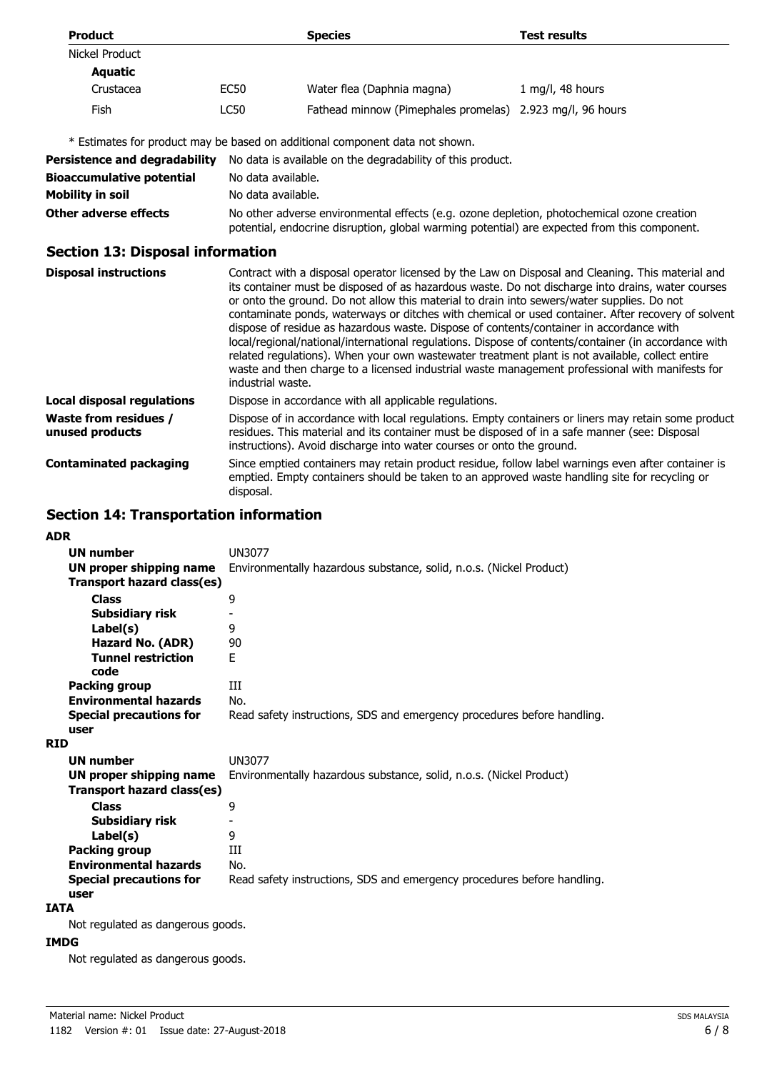| <b>Product</b>                           |                                                                                                                                                                                                                                                                                                                                                                                                                                                                                                                                                                                                                                                                                                                                                                                                                                          | <b>Species</b>                                                                                                                                                         | <b>Test results</b>                                                                                 |  |
|------------------------------------------|------------------------------------------------------------------------------------------------------------------------------------------------------------------------------------------------------------------------------------------------------------------------------------------------------------------------------------------------------------------------------------------------------------------------------------------------------------------------------------------------------------------------------------------------------------------------------------------------------------------------------------------------------------------------------------------------------------------------------------------------------------------------------------------------------------------------------------------|------------------------------------------------------------------------------------------------------------------------------------------------------------------------|-----------------------------------------------------------------------------------------------------|--|
| Nickel Product                           |                                                                                                                                                                                                                                                                                                                                                                                                                                                                                                                                                                                                                                                                                                                                                                                                                                          |                                                                                                                                                                        |                                                                                                     |  |
| <b>Aquatic</b>                           |                                                                                                                                                                                                                                                                                                                                                                                                                                                                                                                                                                                                                                                                                                                                                                                                                                          |                                                                                                                                                                        |                                                                                                     |  |
| Crustacea                                | <b>EC50</b>                                                                                                                                                                                                                                                                                                                                                                                                                                                                                                                                                                                                                                                                                                                                                                                                                              | Water flea (Daphnia magna)                                                                                                                                             | 1 mg/l, 48 hours                                                                                    |  |
| <b>Fish</b>                              | <b>LC50</b>                                                                                                                                                                                                                                                                                                                                                                                                                                                                                                                                                                                                                                                                                                                                                                                                                              | Fathead minnow (Pimephales promelas) 2.923 mg/l, 96 hours                                                                                                              |                                                                                                     |  |
|                                          |                                                                                                                                                                                                                                                                                                                                                                                                                                                                                                                                                                                                                                                                                                                                                                                                                                          | * Estimates for product may be based on additional component data not shown.                                                                                           |                                                                                                     |  |
| <b>Persistence and degradability</b>     |                                                                                                                                                                                                                                                                                                                                                                                                                                                                                                                                                                                                                                                                                                                                                                                                                                          | No data is available on the degradability of this product.                                                                                                             |                                                                                                     |  |
| <b>Bioaccumulative potential</b>         |                                                                                                                                                                                                                                                                                                                                                                                                                                                                                                                                                                                                                                                                                                                                                                                                                                          | No data available.                                                                                                                                                     |                                                                                                     |  |
| <b>Mobility in soil</b>                  |                                                                                                                                                                                                                                                                                                                                                                                                                                                                                                                                                                                                                                                                                                                                                                                                                                          | No data available.                                                                                                                                                     |                                                                                                     |  |
| <b>Other adverse effects</b>             | No other adverse environmental effects (e.g. ozone depletion, photochemical ozone creation<br>potential, endocrine disruption, global warming potential) are expected from this component.                                                                                                                                                                                                                                                                                                                                                                                                                                                                                                                                                                                                                                               |                                                                                                                                                                        |                                                                                                     |  |
| <b>Section 13: Disposal information</b>  |                                                                                                                                                                                                                                                                                                                                                                                                                                                                                                                                                                                                                                                                                                                                                                                                                                          |                                                                                                                                                                        |                                                                                                     |  |
| <b>Disposal instructions</b>             | Contract with a disposal operator licensed by the Law on Disposal and Cleaning. This material and<br>its container must be disposed of as hazardous waste. Do not discharge into drains, water courses<br>or onto the ground. Do not allow this material to drain into sewers/water supplies. Do not<br>contaminate ponds, waterways or ditches with chemical or used container. After recovery of solvent<br>dispose of residue as hazardous waste. Dispose of contents/container in accordance with<br>local/regional/national/international regulations. Dispose of contents/container (in accordance with<br>related regulations). When your own wastewater treatment plant is not available, collect entire<br>waste and then charge to a licensed industrial waste management professional with manifests for<br>industrial waste. |                                                                                                                                                                        |                                                                                                     |  |
| <b>Local disposal regulations</b>        |                                                                                                                                                                                                                                                                                                                                                                                                                                                                                                                                                                                                                                                                                                                                                                                                                                          | Dispose in accordance with all applicable regulations.                                                                                                                 |                                                                                                     |  |
| Waste from residues /<br>unused products |                                                                                                                                                                                                                                                                                                                                                                                                                                                                                                                                                                                                                                                                                                                                                                                                                                          | residues. This material and its container must be disposed of in a safe manner (see: Disposal<br>instructions). Avoid discharge into water courses or onto the ground. | Dispose of in accordance with local regulations. Empty containers or liners may retain some product |  |

Since emptied containers may retain product residue, follow label warnings even after container is emptied. Empty containers should be taken to an approved waste handling site for recycling or

**Contaminated packaging**

#### **Section 14: Transportation information**

disposal.

| <b>ADR</b>                                                                                                                |                                                                                          |
|---------------------------------------------------------------------------------------------------------------------------|------------------------------------------------------------------------------------------|
| <b>UN number</b>                                                                                                          | UN3077                                                                                   |
| UN proper shipping name                                                                                                   | Environmentally hazardous substance, solid, n.o.s. (Nickel Product)                      |
| Transport hazard class(es)                                                                                                |                                                                                          |
| <b>Class</b>                                                                                                              | 9                                                                                        |
| Subsidiary risk                                                                                                           |                                                                                          |
| Label(s)                                                                                                                  | 9                                                                                        |
| Hazard No. (ADR)                                                                                                          | 90                                                                                       |
| <b>Tunnel restriction</b><br>code                                                                                         | F                                                                                        |
| <b>Packing group</b>                                                                                                      | Ш                                                                                        |
| <b>Environmental hazards</b>                                                                                              | No.                                                                                      |
|                                                                                                                           |                                                                                          |
| <b>Special precautions for</b><br>user                                                                                    | Read safety instructions, SDS and emergency procedures before handling.                  |
| <b>RID</b>                                                                                                                |                                                                                          |
| <b>UN number</b>                                                                                                          | UN3077                                                                                   |
| UN proper shipping name                                                                                                   | Environmentally hazardous substance, solid, n.o.s. (Nickel Product)                      |
| Transport hazard class(es)                                                                                                |                                                                                          |
| <b>Class</b>                                                                                                              | 9                                                                                        |
|                                                                                                                           |                                                                                          |
| Subsidiary risk                                                                                                           |                                                                                          |
|                                                                                                                           |                                                                                          |
|                                                                                                                           |                                                                                          |
|                                                                                                                           |                                                                                          |
|                                                                                                                           |                                                                                          |
|                                                                                                                           |                                                                                          |
| Label(s)<br><b>Packing group</b><br><b>Environmental hazards</b><br><b>Special precautions for</b><br>user<br><b>IATA</b> | 9<br>Ш<br>No.<br>Read safety instructions, SDS and emergency procedures before handling. |

Not regulated as dangerous goods.

#### **IMDG**

Not regulated as dangerous goods.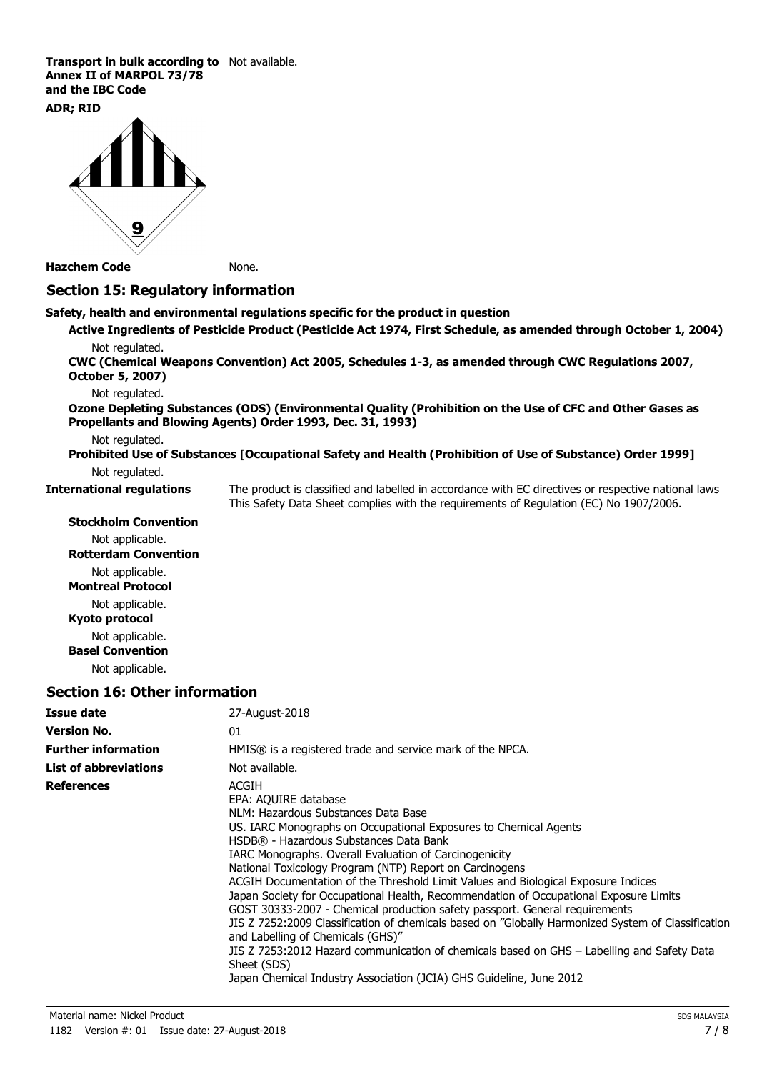**Transport in bulk according to** Not available. **Annex II of MARPOL 73/78 and the IBC Code**

#### **ADR; RID**



**Hazchem Code** None.

#### **Section 15: Regulatory information**

**Safety, health and environmental regulations specific for the product in question**

**Active Ingredients of Pesticide Product (Pesticide Act 1974, First Schedule, as amended through October 1, 2004)** Not regulated.

**CWC (Chemical Weapons Convention) Act 2005, Schedules 1-3, as amended through CWC Regulations 2007, October 5, 2007)**

Not regulated.

**Ozone Depleting Substances (ODS) (Environmental Quality (Prohibition on the Use of CFC and Other Gases as Propellants and Blowing Agents) Order 1993, Dec. 31, 1993)**

Not regulated.

**Prohibited Use of Substances [Occupational Safety and Health (Prohibition of Use of Substance) Order 1999]** Not regulated.

**International regulations**

The product is classified and labelled in accordance with EC directives or respective national laws. This Safety Data Sheet complies with the requirements of Regulation (EC) No 1907/2006.

#### **Stockholm Convention**

Not applicable. **Rotterdam Convention** Not applicable. **Montreal Protocol** Not applicable. **Kyoto protocol** Not applicable. **Basel Convention** Not applicable.

#### **Section 16: Other information**

| Issue date                   | 27-August-2018                                                                                                                                                                                                                                                                                                                                                                                                                                                                                                                                                                                                                                                                                                                                                                                                                                                                                      |
|------------------------------|-----------------------------------------------------------------------------------------------------------------------------------------------------------------------------------------------------------------------------------------------------------------------------------------------------------------------------------------------------------------------------------------------------------------------------------------------------------------------------------------------------------------------------------------------------------------------------------------------------------------------------------------------------------------------------------------------------------------------------------------------------------------------------------------------------------------------------------------------------------------------------------------------------|
| <b>Version No.</b>           | 01                                                                                                                                                                                                                                                                                                                                                                                                                                                                                                                                                                                                                                                                                                                                                                                                                                                                                                  |
| <b>Further information</b>   | $HMIS@$ is a registered trade and service mark of the NPCA.                                                                                                                                                                                                                                                                                                                                                                                                                                                                                                                                                                                                                                                                                                                                                                                                                                         |
| <b>List of abbreviations</b> | Not available.                                                                                                                                                                                                                                                                                                                                                                                                                                                                                                                                                                                                                                                                                                                                                                                                                                                                                      |
| <b>References</b>            | ACGIH<br>EPA: AQUIRE database<br>NLM: Hazardous Substances Data Base<br>US. IARC Monographs on Occupational Exposures to Chemical Agents<br>HSDB® - Hazardous Substances Data Bank<br>IARC Monographs. Overall Evaluation of Carcinogenicity<br>National Toxicology Program (NTP) Report on Carcinogens<br>ACGIH Documentation of the Threshold Limit Values and Biological Exposure Indices<br>Japan Society for Occupational Health, Recommendation of Occupational Exposure Limits<br>GOST 30333-2007 - Chemical production safety passport. General requirements<br>JIS Z 7252:2009 Classification of chemicals based on "Globally Harmonized System of Classification<br>and Labelling of Chemicals (GHS)"<br>JIS Z 7253:2012 Hazard communication of chemicals based on GHS - Labelling and Safety Data<br>Sheet (SDS)<br>Japan Chemical Industry Association (JCIA) GHS Guideline, June 2012 |